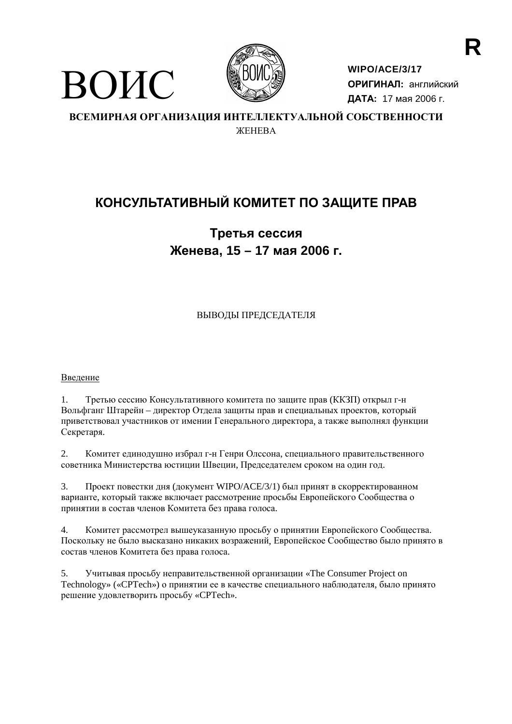

WIPO/ACE/3/17 ОРИГИНАЛ: английский ДАТА: 17 мая 2006 г.

ВСЕМИРНАЯ ОРГАНИЗАЦИЯ ИНТЕЛЛЕКТУАЛЬНОЙ СОБСТВЕННОСТИ *ЖЕНЕВА* 

## КОНСУЛЬТАТИВНЫЙ КОМИТЕТ ПО ЗАЩИТЕ ПРАВ

## Третья сессия Женева, 15 - 17 мая 2006 г.

ВЫВОДЫ ПРЕДСЕДАТЕЛЯ

Введение

ВОИС

Третью сессию Консультативного комитета по защите прав (ККЗП) открыл г-н  $1.$ Вольфганг Штарейн – лиректор Отлела зашиты прав и специальных проектов, который приветствовал участников от имении Генерального директора, а также выполнял функции Секретаря.

2. Комитет единодушно избрал г-н Генри Олссона, специального правительственного советника Министерства юстиции Швеции, Председателем сроком на один год.

Проект повестки лня (локумент WIPO/ACE/3/1) был принят в скорректированном  $\mathfrak{Z}$ . варианте, который также включает рассмотрение просьбы Европейского Сообщества о принятии в состав членов Комитета без права голоса.

 $\overline{4}$ . Комитет рассмотрел вышеуказанную просьбу о принятии Европейского Сообщества. Поскольку не было высказано никаких возражений, Европейское Сообщество было принято в состав членов Комитета без права голоса.

Учитывая просьбу неправительственной организации «The Consumer Project on  $5<sub>1</sub>$ Technology» («СРТесh») о принятии ее в качестве специального наблюдателя, было принято решение удовлетворить просьбу «CPTech».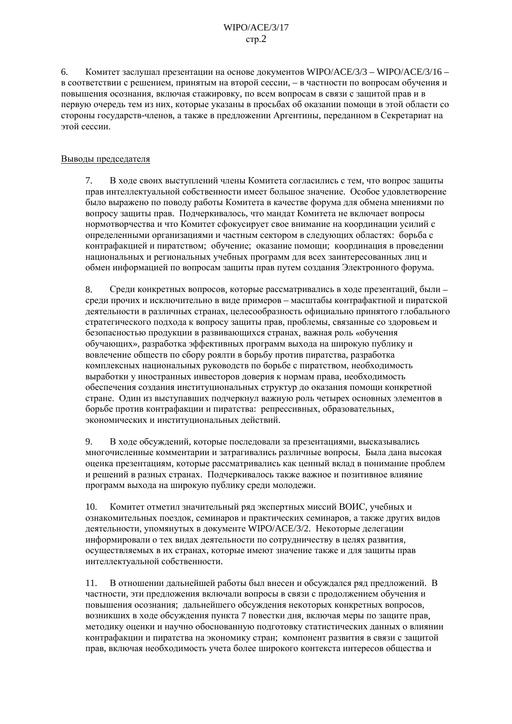$6<sup>1</sup>$ Комитет заслушал презентации на основе документов WIPO/ACE/3/3 - WIPO/ACE/3/16 в соответствии с решением, принятым на второй сессии, - в частности по вопросам обучения и повышения осознания, включая стажировку, по всем вопросам в связи с защитой прав и в первую очередь тем из них, которые указаны в просьбах об оказании помощи в этой области со стороны государств-членов, а также в предложении Аргентины, переданном в Секретариат на этой сессии.

## Выводы председателя

7. В ходе своих выступлений члены Комитета согласились с тем, что вопрос защиты прав интеллектуальной собственности имеет большое значение. Особое удовлетворение было выражено по поводу работы Комитета в качестве форума для обмена мнениями по вопросу защиты прав. Подчеркивалось, что мандат Комитета не включает вопросы нормотворчества и что Комитет сфокусирует свое внимание на координации усилий с определенными организациями и частным сектором в следующих областях: борьба с контрафакцией и пиратством; обучение; оказание помощи; координация в проведении национальных и региональных учебных программ для всех заинтересованных лиц и обмен информацией по вопросам защиты прав путем создания Электронного форума.

Среди конкретных вопросов, которые рассматривались в ходе презентаций, были -8. среди прочих и исключительно в виде примеров - масштабы контрафактной и пиратской деятельности в различных странах, целесообразность официально принятого глобального стратегического подхода к вопросу защиты прав, проблемы, связанные со здоровьем и безопасностью продукции в развивающихся странах, важная роль «обучения обучающих», разработка эффективных программ выхода на широкую публику и вовлечение обществ по сбору роялти в борьбу против пиратства, разработка комплексных национальных руководств по борьбе с пиратством, необходимость выработки у иностранных инвесторов доверия к нормам права, необходимость обеспечения создания институциональных структур до оказания помощи конкретной стране. Один из выступавших подчеркнул важную роль четырех основных элементов в борьбе против контрафакции и пиратства: репрессивных, образовательных, экономических и институциональных действий.

 $\overline{Q}$ В ходе обсуждений, которые последовали за презентациями, высказывались многочисленные комментарии и затрагивались различные вопросы. Была дана высокая оценка презентациям, которые рассматривались как ценный вклад в понимание проблем и решений в разных странах. Подчеркивалось также важное и позитивное влияние программ выхода на широкую публику среди молодежи.

 $10.$ Комитет отметил значительный ряд экспертных миссий ВОИС, учебных и ознакомительных поездок, семинаров и практических семинаров, а также других видов деятельности, упомянутых в документе WIPO/ACE/3/2. Некоторые делегации информировали о тех видах деятельности по сотрудничеству в целях развития, осуществляемых в их странах, которые имеют значение также и для защиты прав интеллектуальной собственности.

 $11.$ В отношении дальнейшей работы был внесен и обсуждался ряд предложений. В частности, эти предложения включали вопросы в связи с продолжением обучения и повышения осознания; дальнейшего обсуждения некоторых конкретных вопросов, возникших в ходе обсуждения пункта 7 повестки дня, включая меры по защите прав, методику оценки и научно обоснованную подготовку статистических данных о влиянии контрафакции и пиратства на экономику стран: компонент развития в связи с зашитой прав, включая необходимость учета более широкого контекста интересов общества и